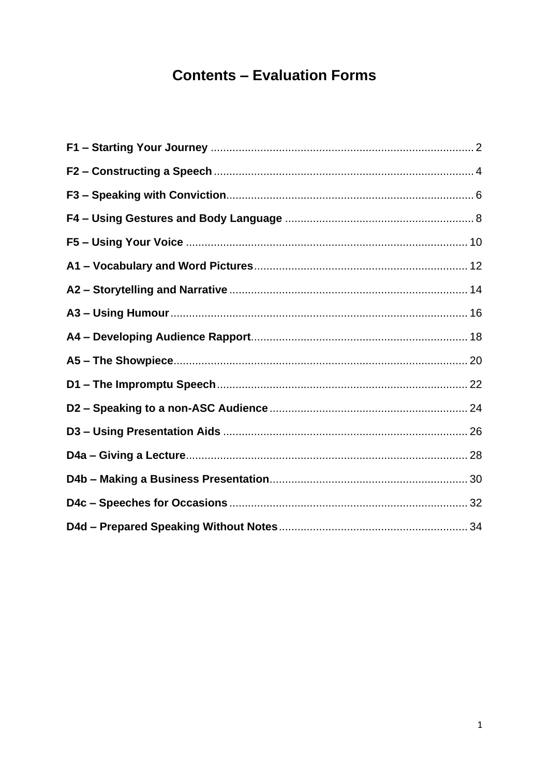# **Contents - Evaluation Forms**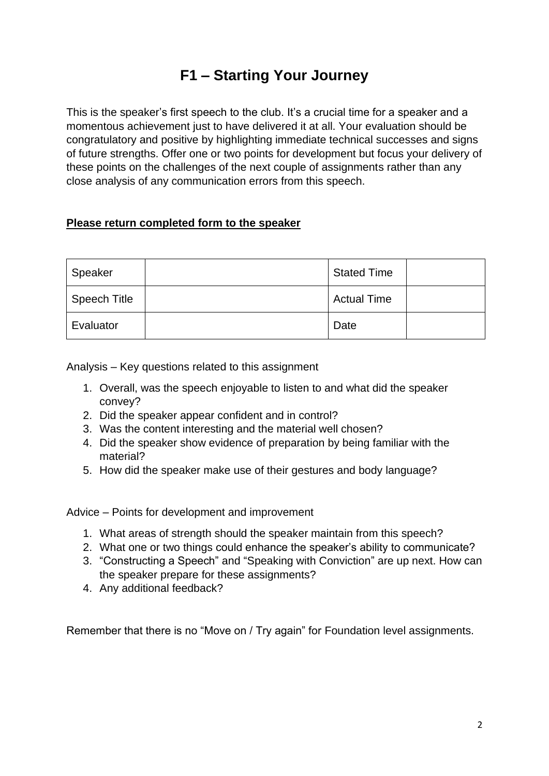## **F1 – Starting Your Journey**

<span id="page-1-0"></span>This is the speaker's first speech to the club. It's a crucial time for a speaker and a momentous achievement just to have delivered it at all. Your evaluation should be congratulatory and positive by highlighting immediate technical successes and signs of future strengths. Offer one or two points for development but focus your delivery of these points on the challenges of the next couple of assignments rather than any close analysis of any communication errors from this speech.

#### **Please return completed form to the speaker**

| Speaker      | <b>Stated Time</b> |  |
|--------------|--------------------|--|
| Speech Title | <b>Actual Time</b> |  |
| Evaluator    | Date               |  |

Analysis – Key questions related to this assignment

- 1. Overall, was the speech enjoyable to listen to and what did the speaker convey?
- 2. Did the speaker appear confident and in control?
- 3. Was the content interesting and the material well chosen?
- 4. Did the speaker show evidence of preparation by being familiar with the material?
- 5. How did the speaker make use of their gestures and body language?

Advice – Points for development and improvement

- 1. What areas of strength should the speaker maintain from this speech?
- 2. What one or two things could enhance the speaker's ability to communicate?
- 3. "Constructing a Speech" and "Speaking with Conviction" are up next. How can the speaker prepare for these assignments?
- 4. Any additional feedback?

Remember that there is no "Move on / Try again" for Foundation level assignments.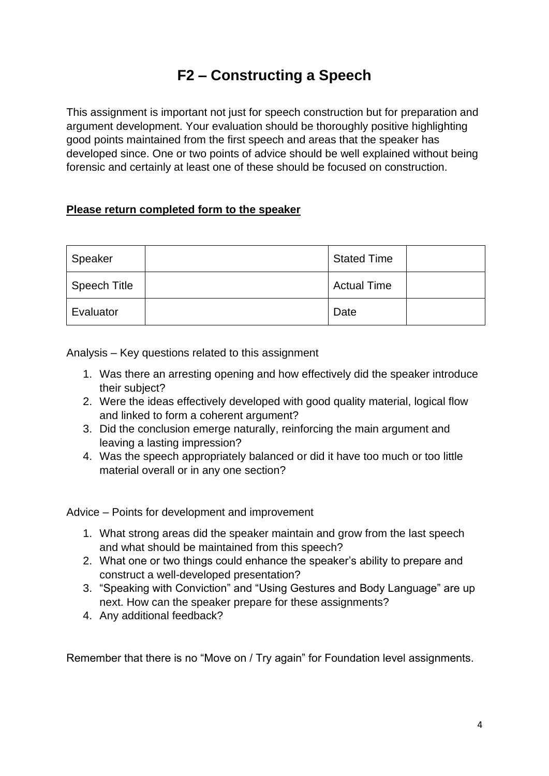# **F2 – Constructing a Speech**

<span id="page-3-0"></span>This assignment is important not just for speech construction but for preparation and argument development. Your evaluation should be thoroughly positive highlighting good points maintained from the first speech and areas that the speaker has developed since. One or two points of advice should be well explained without being forensic and certainly at least one of these should be focused on construction.

### **Please return completed form to the speaker**

| Speaker             | <b>Stated Time</b> |  |
|---------------------|--------------------|--|
| <b>Speech Title</b> | <b>Actual Time</b> |  |
| Evaluator           | Date               |  |

Analysis – Key questions related to this assignment

- 1. Was there an arresting opening and how effectively did the speaker introduce their subject?
- 2. Were the ideas effectively developed with good quality material, logical flow and linked to form a coherent argument?
- 3. Did the conclusion emerge naturally, reinforcing the main argument and leaving a lasting impression?
- 4. Was the speech appropriately balanced or did it have too much or too little material overall or in any one section?

Advice – Points for development and improvement

- 1. What strong areas did the speaker maintain and grow from the last speech and what should be maintained from this speech?
- 2. What one or two things could enhance the speaker's ability to prepare and construct a well-developed presentation?
- 3. "Speaking with Conviction" and "Using Gestures and Body Language" are up next. How can the speaker prepare for these assignments?
- 4. Any additional feedback?

Remember that there is no "Move on / Try again" for Foundation level assignments.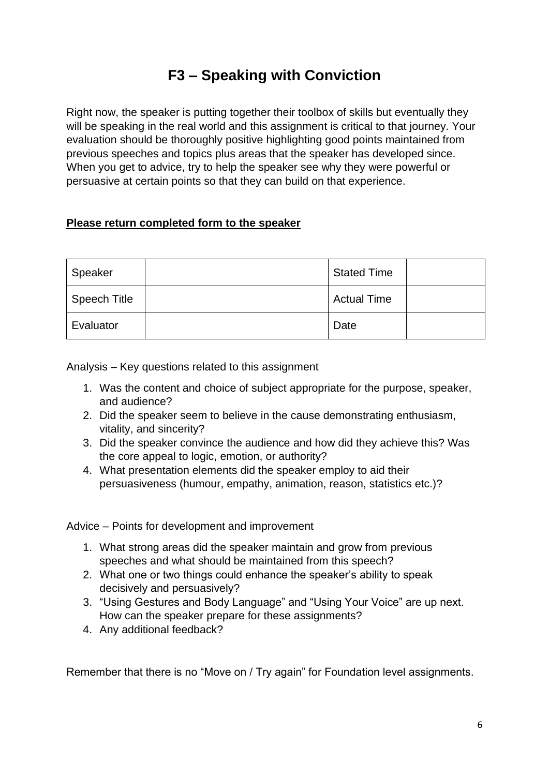# **F3 – Speaking with Conviction**

<span id="page-5-0"></span>Right now, the speaker is putting together their toolbox of skills but eventually they will be speaking in the real world and this assignment is critical to that journey. Your evaluation should be thoroughly positive highlighting good points maintained from previous speeches and topics plus areas that the speaker has developed since. When you get to advice, try to help the speaker see why they were powerful or persuasive at certain points so that they can build on that experience.

### **Please return completed form to the speaker**

| Speaker      | <b>Stated Time</b> |  |
|--------------|--------------------|--|
| Speech Title | <b>Actual Time</b> |  |
| Evaluator    | Date               |  |

Analysis – Key questions related to this assignment

- 1. Was the content and choice of subject appropriate for the purpose, speaker, and audience?
- 2. Did the speaker seem to believe in the cause demonstrating enthusiasm, vitality, and sincerity?
- 3. Did the speaker convince the audience and how did they achieve this? Was the core appeal to logic, emotion, or authority?
- 4. What presentation elements did the speaker employ to aid their persuasiveness (humour, empathy, animation, reason, statistics etc.)?

Advice – Points for development and improvement

- 1. What strong areas did the speaker maintain and grow from previous speeches and what should be maintained from this speech?
- 2. What one or two things could enhance the speaker's ability to speak decisively and persuasively?
- 3. "Using Gestures and Body Language" and "Using Your Voice" are up next. How can the speaker prepare for these assignments?
- 4. Any additional feedback?

Remember that there is no "Move on / Try again" for Foundation level assignments.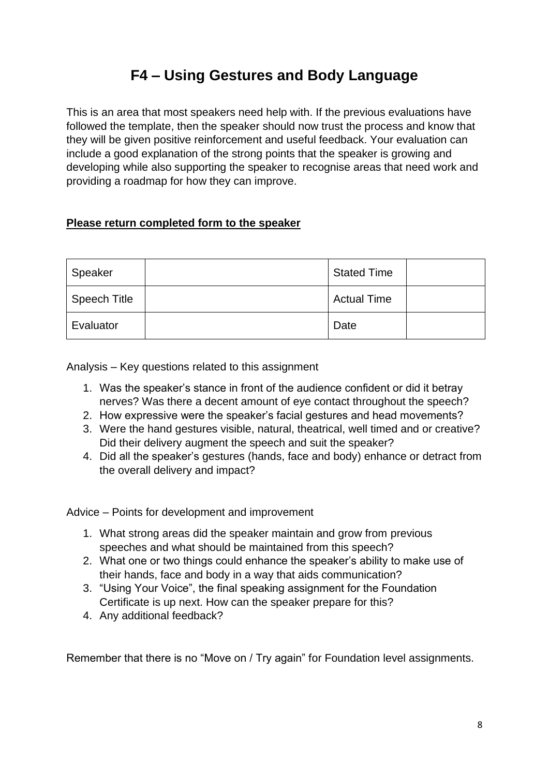## **F4 – Using Gestures and Body Language**

<span id="page-7-0"></span>This is an area that most speakers need help with. If the previous evaluations have followed the template, then the speaker should now trust the process and know that they will be given positive reinforcement and useful feedback. Your evaluation can include a good explanation of the strong points that the speaker is growing and developing while also supporting the speaker to recognise areas that need work and providing a roadmap for how they can improve.

### **Please return completed form to the speaker**

| Speaker             | <b>Stated Time</b> |  |
|---------------------|--------------------|--|
| <b>Speech Title</b> | <b>Actual Time</b> |  |
| Evaluator           | Date               |  |

Analysis – Key questions related to this assignment

- 1. Was the speaker's stance in front of the audience confident or did it betray nerves? Was there a decent amount of eye contact throughout the speech?
- 2. How expressive were the speaker's facial gestures and head movements?
- 3. Were the hand gestures visible, natural, theatrical, well timed and or creative? Did their delivery augment the speech and suit the speaker?
- 4. Did all the speaker's gestures (hands, face and body) enhance or detract from the overall delivery and impact?

Advice – Points for development and improvement

- 1. What strong areas did the speaker maintain and grow from previous speeches and what should be maintained from this speech?
- 2. What one or two things could enhance the speaker's ability to make use of their hands, face and body in a way that aids communication?
- 3. "Using Your Voice", the final speaking assignment for the Foundation Certificate is up next. How can the speaker prepare for this?
- 4. Any additional feedback?

Remember that there is no "Move on / Try again" for Foundation level assignments.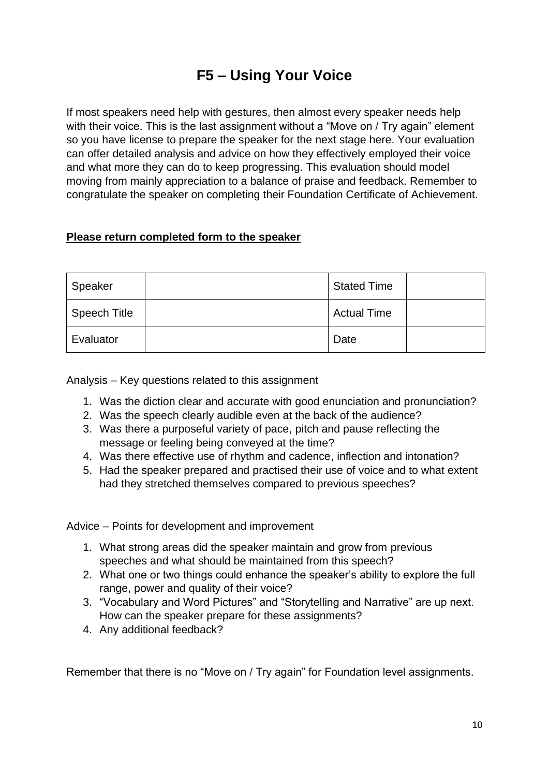# **F5 – Using Your Voice**

<span id="page-9-0"></span>If most speakers need help with gestures, then almost every speaker needs help with their voice. This is the last assignment without a "Move on / Try again" element so you have license to prepare the speaker for the next stage here. Your evaluation can offer detailed analysis and advice on how they effectively employed their voice and what more they can do to keep progressing. This evaluation should model moving from mainly appreciation to a balance of praise and feedback. Remember to congratulate the speaker on completing their Foundation Certificate of Achievement.

### **Please return completed form to the speaker**

| Speaker             | <b>Stated Time</b> |  |
|---------------------|--------------------|--|
| <b>Speech Title</b> | <b>Actual Time</b> |  |
| Evaluator           | Date               |  |

Analysis – Key questions related to this assignment

- 1. Was the diction clear and accurate with good enunciation and pronunciation?
- 2. Was the speech clearly audible even at the back of the audience?
- 3. Was there a purposeful variety of pace, pitch and pause reflecting the message or feeling being conveyed at the time?
- 4. Was there effective use of rhythm and cadence, inflection and intonation?
- 5. Had the speaker prepared and practised their use of voice and to what extent had they stretched themselves compared to previous speeches?

Advice – Points for development and improvement

- 1. What strong areas did the speaker maintain and grow from previous speeches and what should be maintained from this speech?
- 2. What one or two things could enhance the speaker's ability to explore the full range, power and quality of their voice?
- 3. "Vocabulary and Word Pictures" and "Storytelling and Narrative" are up next. How can the speaker prepare for these assignments?
- 4. Any additional feedback?

Remember that there is no "Move on / Try again" for Foundation level assignments.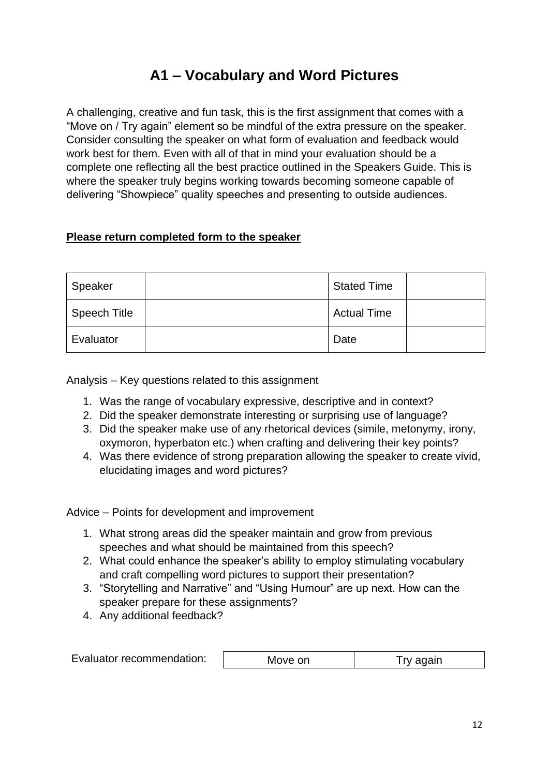## **A1 – Vocabulary and Word Pictures**

<span id="page-11-0"></span>A challenging, creative and fun task, this is the first assignment that comes with a "Move on / Try again" element so be mindful of the extra pressure on the speaker. Consider consulting the speaker on what form of evaluation and feedback would work best for them. Even with all of that in mind your evaluation should be a complete one reflecting all the best practice outlined in the Speakers Guide. This is where the speaker truly begins working towards becoming someone capable of delivering "Showpiece" quality speeches and presenting to outside audiences.

#### **Please return completed form to the speaker**

| Speaker             | <b>Stated Time</b> |  |
|---------------------|--------------------|--|
| <b>Speech Title</b> | <b>Actual Time</b> |  |
| Evaluator           | Date               |  |

Analysis – Key questions related to this assignment

- 1. Was the range of vocabulary expressive, descriptive and in context?
- 2. Did the speaker demonstrate interesting or surprising use of language?
- 3. Did the speaker make use of any rhetorical devices (simile, metonymy, irony, oxymoron, hyperbaton etc.) when crafting and delivering their key points?
- 4. Was there evidence of strong preparation allowing the speaker to create vivid, elucidating images and word pictures?

- 1. What strong areas did the speaker maintain and grow from previous speeches and what should be maintained from this speech?
- 2. What could enhance the speaker's ability to employ stimulating vocabulary and craft compelling word pictures to support their presentation?
- 3. "Storytelling and Narrative" and "Using Humour" are up next. How can the speaker prepare for these assignments?
- 4. Any additional feedback?

| Evaluator recommendation: | Move on | I ry again |
|---------------------------|---------|------------|
|---------------------------|---------|------------|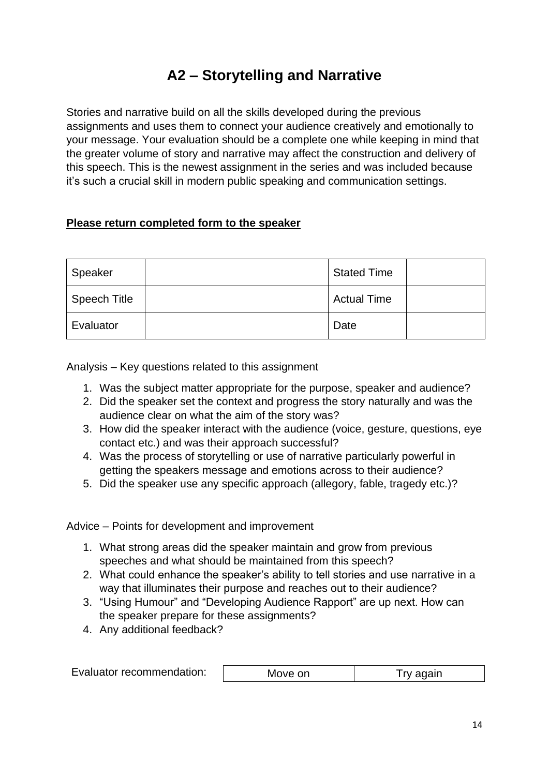# **A2 – Storytelling and Narrative**

<span id="page-13-0"></span>Stories and narrative build on all the skills developed during the previous assignments and uses them to connect your audience creatively and emotionally to your message. Your evaluation should be a complete one while keeping in mind that the greater volume of story and narrative may affect the construction and delivery of this speech. This is the newest assignment in the series and was included because it's such a crucial skill in modern public speaking and communication settings.

### **Please return completed form to the speaker**

| Speaker      | <b>Stated Time</b> |  |
|--------------|--------------------|--|
| Speech Title | <b>Actual Time</b> |  |
| Evaluator    | Date               |  |

Analysis – Key questions related to this assignment

- 1. Was the subject matter appropriate for the purpose, speaker and audience?
- 2. Did the speaker set the context and progress the story naturally and was the audience clear on what the aim of the story was?
- 3. How did the speaker interact with the audience (voice, gesture, questions, eye contact etc.) and was their approach successful?
- 4. Was the process of storytelling or use of narrative particularly powerful in getting the speakers message and emotions across to their audience?
- 5. Did the speaker use any specific approach (allegory, fable, tragedy etc.)?

- 1. What strong areas did the speaker maintain and grow from previous speeches and what should be maintained from this speech?
- 2. What could enhance the speaker's ability to tell stories and use narrative in a way that illuminates their purpose and reaches out to their audience?
- 3. "Using Humour" and "Developing Audience Rapport" are up next. How can the speaker prepare for these assignments?
- 4. Any additional feedback?

| Evaluator recommendation:<br>Move on<br>Try again |  |
|---------------------------------------------------|--|
|---------------------------------------------------|--|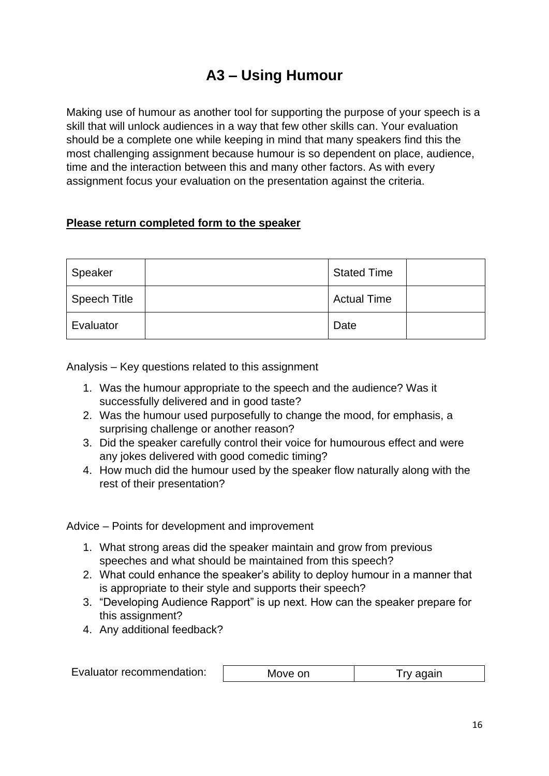## **A3 – Using Humour**

<span id="page-15-0"></span>Making use of humour as another tool for supporting the purpose of your speech is a skill that will unlock audiences in a way that few other skills can. Your evaluation should be a complete one while keeping in mind that many speakers find this the most challenging assignment because humour is so dependent on place, audience, time and the interaction between this and many other factors. As with every assignment focus your evaluation on the presentation against the criteria.

#### **Please return completed form to the speaker**

| Speaker      | <b>Stated Time</b> |  |
|--------------|--------------------|--|
| Speech Title | <b>Actual Time</b> |  |
| Evaluator    | Date               |  |

Analysis – Key questions related to this assignment

- 1. Was the humour appropriate to the speech and the audience? Was it successfully delivered and in good taste?
- 2. Was the humour used purposefully to change the mood, for emphasis, a surprising challenge or another reason?
- 3. Did the speaker carefully control their voice for humourous effect and were any jokes delivered with good comedic timing?
- 4. How much did the humour used by the speaker flow naturally along with the rest of their presentation?

- 1. What strong areas did the speaker maintain and grow from previous speeches and what should be maintained from this speech?
- 2. What could enhance the speaker's ability to deploy humour in a manner that is appropriate to their style and supports their speech?
- 3. "Developing Audience Rapport" is up next. How can the speaker prepare for this assignment?
- 4. Any additional feedback?

| Evaluator recommendation: | Move on | Try again |
|---------------------------|---------|-----------|
|---------------------------|---------|-----------|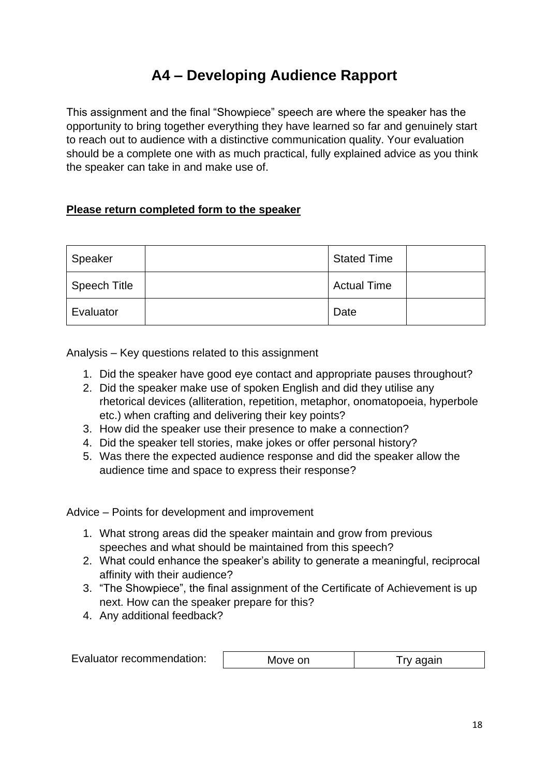# **A4 – Developing Audience Rapport**

<span id="page-17-0"></span>This assignment and the final "Showpiece" speech are where the speaker has the opportunity to bring together everything they have learned so far and genuinely start to reach out to audience with a distinctive communication quality. Your evaluation should be a complete one with as much practical, fully explained advice as you think the speaker can take in and make use of.

### **Please return completed form to the speaker**

| Speaker             | <b>Stated Time</b> |  |
|---------------------|--------------------|--|
| <b>Speech Title</b> | <b>Actual Time</b> |  |
| Evaluator           | Date               |  |

Analysis – Key questions related to this assignment

- 1. Did the speaker have good eye contact and appropriate pauses throughout?
- 2. Did the speaker make use of spoken English and did they utilise any rhetorical devices (alliteration, repetition, metaphor, onomatopoeia, hyperbole etc.) when crafting and delivering their key points?
- 3. How did the speaker use their presence to make a connection?
- 4. Did the speaker tell stories, make jokes or offer personal history?
- 5. Was there the expected audience response and did the speaker allow the audience time and space to express their response?

- 1. What strong areas did the speaker maintain and grow from previous speeches and what should be maintained from this speech?
- 2. What could enhance the speaker's ability to generate a meaningful, reciprocal affinity with their audience?
- 3. "The Showpiece", the final assignment of the Certificate of Achievement is up next. How can the speaker prepare for this?
- 4. Any additional feedback?

| Evaluator recommendation: | Move on | Try again |
|---------------------------|---------|-----------|
|---------------------------|---------|-----------|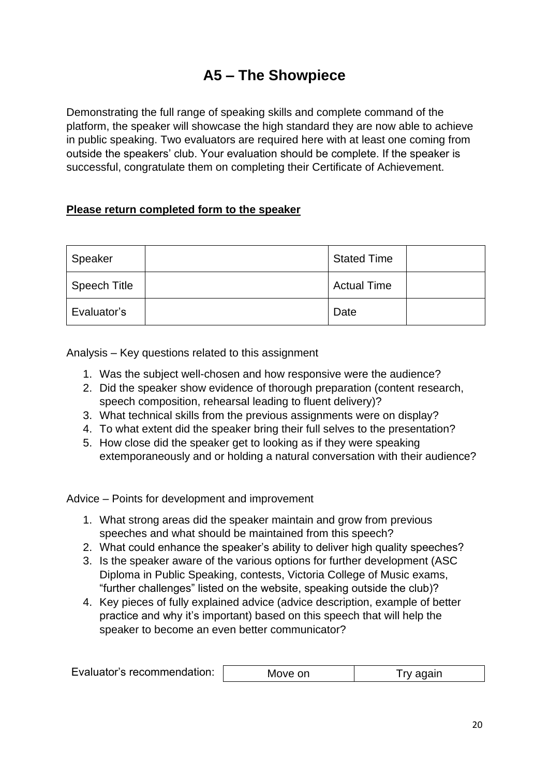## **A5 – The Showpiece**

<span id="page-19-0"></span>Demonstrating the full range of speaking skills and complete command of the platform, the speaker will showcase the high standard they are now able to achieve in public speaking. Two evaluators are required here with at least one coming from outside the speakers' club. Your evaluation should be complete. If the speaker is successful, congratulate them on completing their Certificate of Achievement.

### **Please return completed form to the speaker**

| Speaker             | <b>Stated Time</b> |  |
|---------------------|--------------------|--|
| <b>Speech Title</b> | <b>Actual Time</b> |  |
| Evaluator's         | Date               |  |

Analysis – Key questions related to this assignment

- 1. Was the subject well-chosen and how responsive were the audience?
- 2. Did the speaker show evidence of thorough preparation (content research, speech composition, rehearsal leading to fluent delivery)?
- 3. What technical skills from the previous assignments were on display?
- 4. To what extent did the speaker bring their full selves to the presentation?
- 5. How close did the speaker get to looking as if they were speaking extemporaneously and or holding a natural conversation with their audience?

- 1. What strong areas did the speaker maintain and grow from previous speeches and what should be maintained from this speech?
- 2. What could enhance the speaker's ability to deliver high quality speeches?
- 3. Is the speaker aware of the various options for further development (ASC Diploma in Public Speaking, contests, Victoria College of Music exams, "further challenges" listed on the website, speaking outside the club)?
- 4. Key pieces of fully explained advice (advice description, example of better practice and why it's important) based on this speech that will help the speaker to become an even better communicator?

|  | Evaluator's recommendation: | Move on |  |
|--|-----------------------------|---------|--|
|--|-----------------------------|---------|--|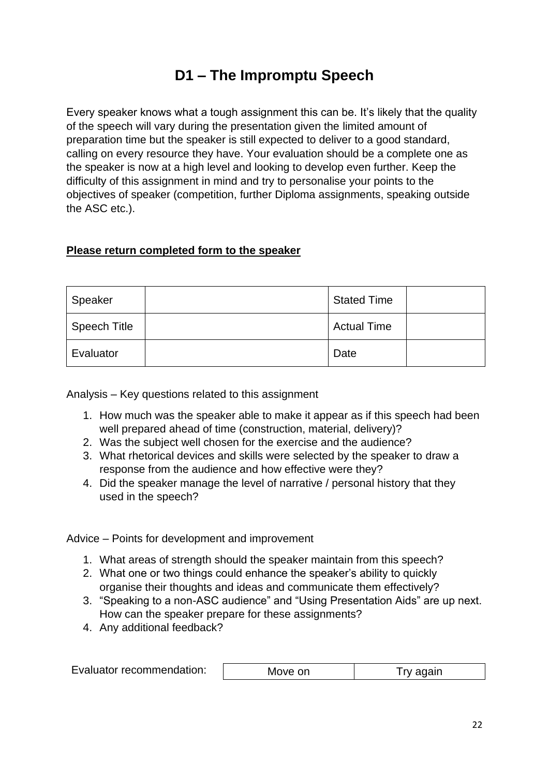## **D1 – The Impromptu Speech**

<span id="page-21-0"></span>Every speaker knows what a tough assignment this can be. It's likely that the quality of the speech will vary during the presentation given the limited amount of preparation time but the speaker is still expected to deliver to a good standard, calling on every resource they have. Your evaluation should be a complete one as the speaker is now at a high level and looking to develop even further. Keep the difficulty of this assignment in mind and try to personalise your points to the objectives of speaker (competition, further Diploma assignments, speaking outside the ASC etc.).

### **Please return completed form to the speaker**

| Speaker      | <b>Stated Time</b> |  |
|--------------|--------------------|--|
| Speech Title | <b>Actual Time</b> |  |
| Evaluator    | Date               |  |

Analysis – Key questions related to this assignment

- 1. How much was the speaker able to make it appear as if this speech had been well prepared ahead of time (construction, material, delivery)?
- 2. Was the subject well chosen for the exercise and the audience?
- 3. What rhetorical devices and skills were selected by the speaker to draw a response from the audience and how effective were they?
- 4. Did the speaker manage the level of narrative / personal history that they used in the speech?

- 1. What areas of strength should the speaker maintain from this speech?
- 2. What one or two things could enhance the speaker's ability to quickly organise their thoughts and ideas and communicate them effectively?
- 3. "Speaking to a non-ASC audience" and "Using Presentation Aids" are up next. How can the speaker prepare for these assignments?
- 4. Any additional feedback?

| Evaluator recommendation: | Move on | Try again |
|---------------------------|---------|-----------|
|---------------------------|---------|-----------|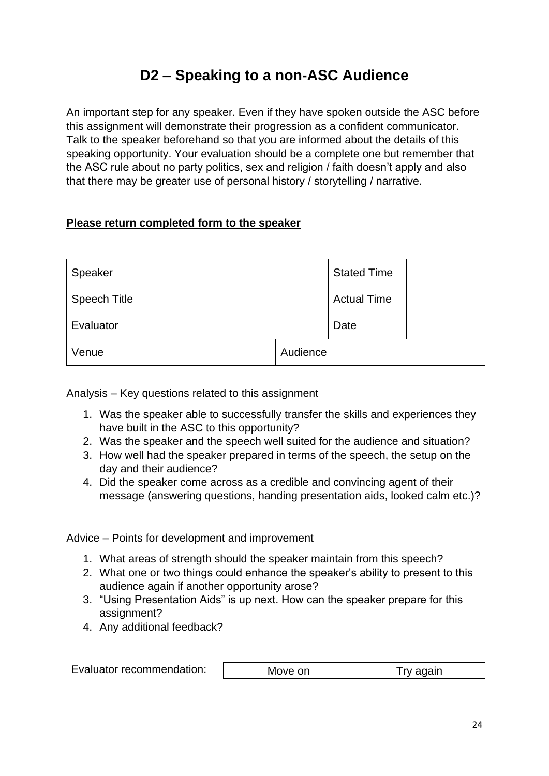## **D2 – Speaking to a non-ASC Audience**

<span id="page-23-0"></span>An important step for any speaker. Even if they have spoken outside the ASC before this assignment will demonstrate their progression as a confident communicator. Talk to the speaker beforehand so that you are informed about the details of this speaking opportunity. Your evaluation should be a complete one but remember that the ASC rule about no party politics, sex and religion / faith doesn't apply and also that there may be greater use of personal history / storytelling / narrative.

### **Please return completed form to the speaker**

| Speaker             |          |      | <b>Stated Time</b> |  |
|---------------------|----------|------|--------------------|--|
| <b>Speech Title</b> |          |      | <b>Actual Time</b> |  |
| Evaluator           |          | Date |                    |  |
| Venue               | Audience |      |                    |  |

Analysis – Key questions related to this assignment

- 1. Was the speaker able to successfully transfer the skills and experiences they have built in the ASC to this opportunity?
- 2. Was the speaker and the speech well suited for the audience and situation?
- 3. How well had the speaker prepared in terms of the speech, the setup on the day and their audience?
- 4. Did the speaker come across as a credible and convincing agent of their message (answering questions, handing presentation aids, looked calm etc.)?

- 1. What areas of strength should the speaker maintain from this speech?
- 2. What one or two things could enhance the speaker's ability to present to this audience again if another opportunity arose?
- 3. "Using Presentation Aids" is up next. How can the speaker prepare for this assignment?
- 4. Any additional feedback?

| Evaluator recommendation: | Move on | Try again |
|---------------------------|---------|-----------|
|---------------------------|---------|-----------|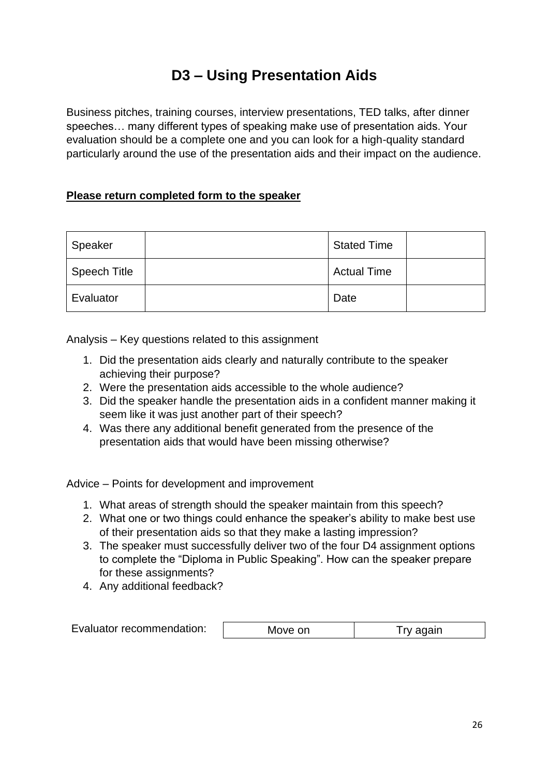# **D3 – Using Presentation Aids**

<span id="page-25-0"></span>Business pitches, training courses, interview presentations, TED talks, after dinner speeches… many different types of speaking make use of presentation aids. Your evaluation should be a complete one and you can look for a high-quality standard particularly around the use of the presentation aids and their impact on the audience.

#### **Please return completed form to the speaker**

| Speaker             | <b>Stated Time</b> |  |
|---------------------|--------------------|--|
| <b>Speech Title</b> | <b>Actual Time</b> |  |
| Evaluator           | Date               |  |

Analysis – Key questions related to this assignment

- 1. Did the presentation aids clearly and naturally contribute to the speaker achieving their purpose?
- 2. Were the presentation aids accessible to the whole audience?
- 3. Did the speaker handle the presentation aids in a confident manner making it seem like it was just another part of their speech?
- 4. Was there any additional benefit generated from the presence of the presentation aids that would have been missing otherwise?

- 1. What areas of strength should the speaker maintain from this speech?
- 2. What one or two things could enhance the speaker's ability to make best use of their presentation aids so that they make a lasting impression?
- 3. The speaker must successfully deliver two of the four D4 assignment options to complete the "Diploma in Public Speaking". How can the speaker prepare for these assignments?
- 4. Any additional feedback?

| Evaluator recommendation: | Move on | I ry again |
|---------------------------|---------|------------|
|---------------------------|---------|------------|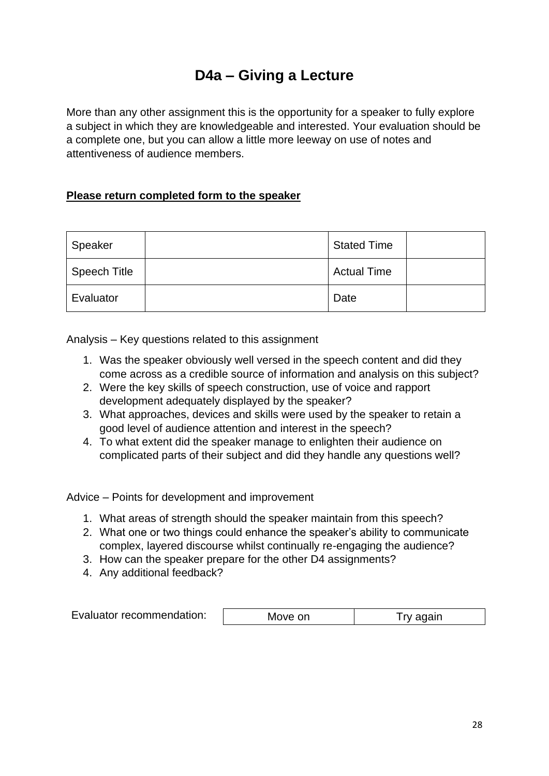## **D4a – Giving a Lecture**

<span id="page-27-0"></span>More than any other assignment this is the opportunity for a speaker to fully explore a subject in which they are knowledgeable and interested. Your evaluation should be a complete one, but you can allow a little more leeway on use of notes and attentiveness of audience members.

#### **Please return completed form to the speaker**

| Speaker             | <b>Stated Time</b> |  |
|---------------------|--------------------|--|
| <b>Speech Title</b> | <b>Actual Time</b> |  |
| Evaluator           | Date               |  |

Analysis – Key questions related to this assignment

- 1. Was the speaker obviously well versed in the speech content and did they come across as a credible source of information and analysis on this subject?
- 2. Were the key skills of speech construction, use of voice and rapport development adequately displayed by the speaker?
- 3. What approaches, devices and skills were used by the speaker to retain a good level of audience attention and interest in the speech?
- 4. To what extent did the speaker manage to enlighten their audience on complicated parts of their subject and did they handle any questions well?

- 1. What areas of strength should the speaker maintain from this speech?
- 2. What one or two things could enhance the speaker's ability to communicate complex, layered discourse whilst continually re-engaging the audience?
- 3. How can the speaker prepare for the other D4 assignments?
- 4. Any additional feedback?

| Evaluator recommendation: | Move on | I ry again |
|---------------------------|---------|------------|
|---------------------------|---------|------------|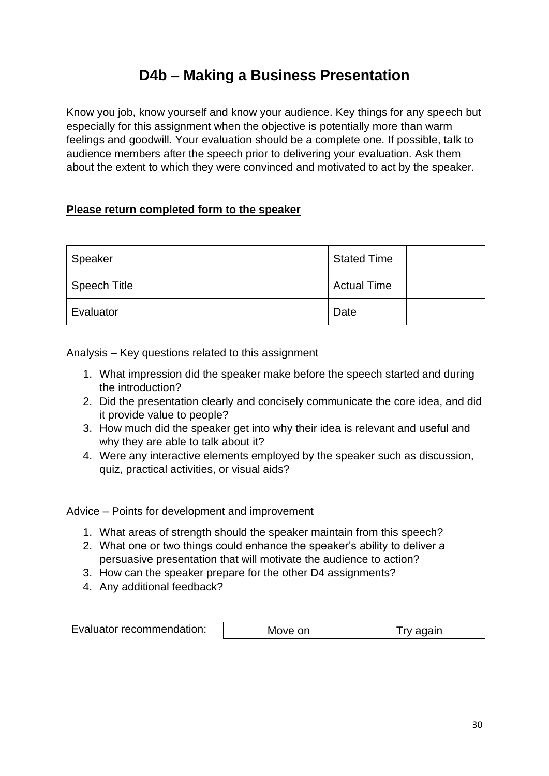## **D4b – Making a Business Presentation**

<span id="page-29-0"></span>Know you job, know yourself and know your audience. Key things for any speech but especially for this assignment when the objective is potentially more than warm feelings and goodwill. Your evaluation should be a complete one. If possible, talk to audience members after the speech prior to delivering your evaluation. Ask them about the extent to which they were convinced and motivated to act by the speaker.

### **Please return completed form to the speaker**

| Speaker             | <b>Stated Time</b> |  |
|---------------------|--------------------|--|
| <b>Speech Title</b> | <b>Actual Time</b> |  |
| Evaluator           | Date               |  |

Analysis – Key questions related to this assignment

- 1. What impression did the speaker make before the speech started and during the introduction?
- 2. Did the presentation clearly and concisely communicate the core idea, and did it provide value to people?
- 3. How much did the speaker get into why their idea is relevant and useful and why they are able to talk about it?
- 4. Were any interactive elements employed by the speaker such as discussion, quiz, practical activities, or visual aids?

- 1. What areas of strength should the speaker maintain from this speech?
- 2. What one or two things could enhance the speaker's ability to deliver a persuasive presentation that will motivate the audience to action?
- 3. How can the speaker prepare for the other D4 assignments?
- 4. Any additional feedback?

| Evaluator recommendation: | Move on | I ry again |
|---------------------------|---------|------------|
|---------------------------|---------|------------|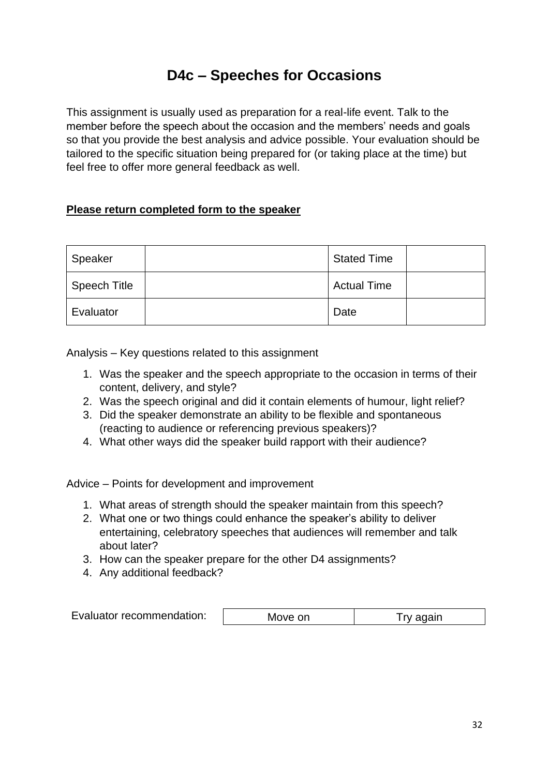### **D4c – Speeches for Occasions**

<span id="page-31-0"></span>This assignment is usually used as preparation for a real-life event. Talk to the member before the speech about the occasion and the members' needs and goals so that you provide the best analysis and advice possible. Your evaluation should be tailored to the specific situation being prepared for (or taking place at the time) but feel free to offer more general feedback as well.

#### **Please return completed form to the speaker**

| Speaker             | <b>Stated Time</b> |  |
|---------------------|--------------------|--|
| <b>Speech Title</b> | <b>Actual Time</b> |  |
| Evaluator           | Date               |  |

Analysis – Key questions related to this assignment

- 1. Was the speaker and the speech appropriate to the occasion in terms of their content, delivery, and style?
- 2. Was the speech original and did it contain elements of humour, light relief?
- 3. Did the speaker demonstrate an ability to be flexible and spontaneous (reacting to audience or referencing previous speakers)?
- 4. What other ways did the speaker build rapport with their audience?

- 1. What areas of strength should the speaker maintain from this speech?
- 2. What one or two things could enhance the speaker's ability to deliver entertaining, celebratory speeches that audiences will remember and talk about later?
- 3. How can the speaker prepare for the other D4 assignments?
- 4. Any additional feedback?

| Evaluator recommendation: | Move on | I ry again |
|---------------------------|---------|------------|
|---------------------------|---------|------------|